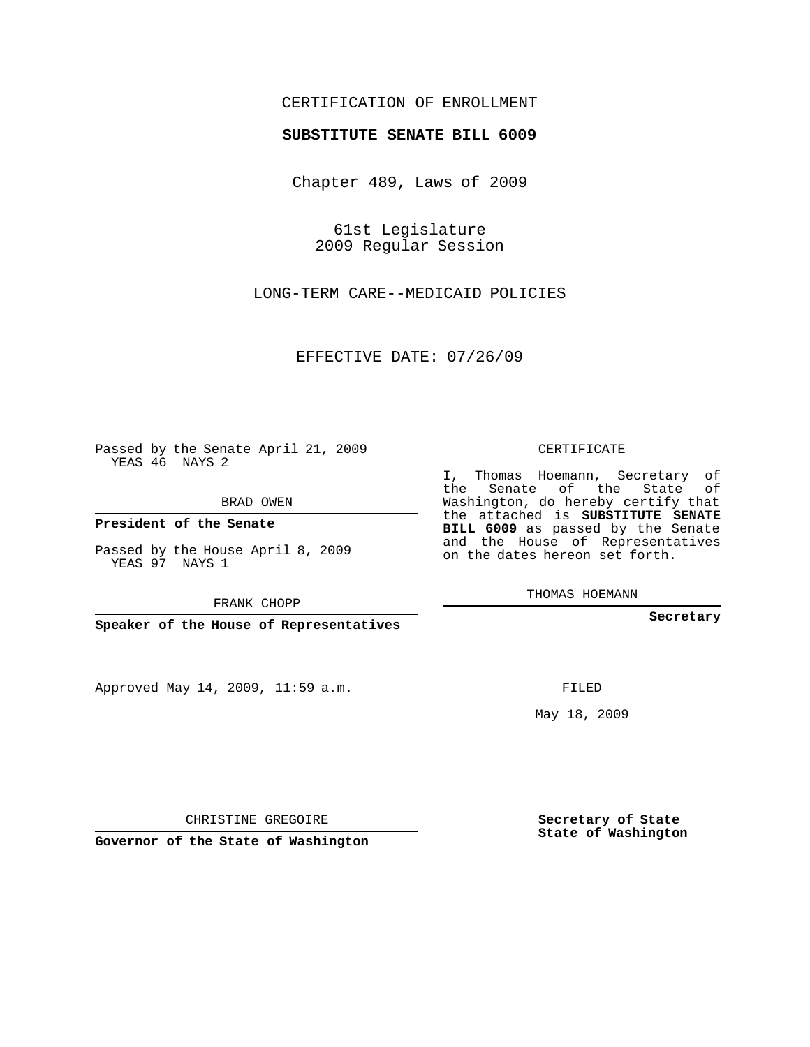### CERTIFICATION OF ENROLLMENT

#### **SUBSTITUTE SENATE BILL 6009**

Chapter 489, Laws of 2009

61st Legislature 2009 Regular Session

LONG-TERM CARE--MEDICAID POLICIES

EFFECTIVE DATE: 07/26/09

Passed by the Senate April 21, 2009 YEAS 46 NAYS 2

BRAD OWEN

Approved May 14, 2009, 11:59 a.m.

#### CERTIFICATE

I, Thomas Hoemann, Secretary of the Senate of the State of Washington, do hereby certify that the attached is **SUBSTITUTE SENATE BILL 6009** as passed by the Senate and the House of Representatives on the dates hereon set forth.

THOMAS HOEMANN

**Secretary**

FILED

May 18, 2009

**Secretary of State State of Washington**

CHRISTINE GREGOIRE

**Governor of the State of Washington**

**President of the Senate**

Passed by the House April 8, 2009 YEAS 97 NAYS 1

FRANK CHOPP

**Speaker of the House of Representatives**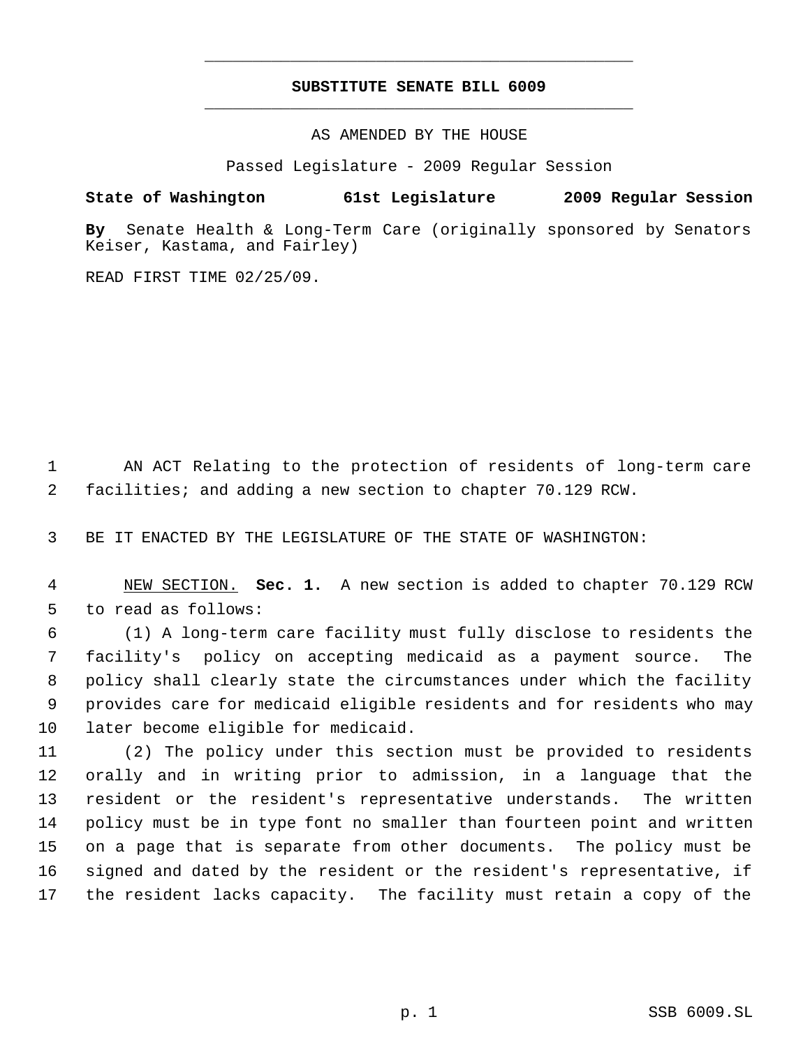## **SUBSTITUTE SENATE BILL 6009** \_\_\_\_\_\_\_\_\_\_\_\_\_\_\_\_\_\_\_\_\_\_\_\_\_\_\_\_\_\_\_\_\_\_\_\_\_\_\_\_\_\_\_\_\_

\_\_\_\_\_\_\_\_\_\_\_\_\_\_\_\_\_\_\_\_\_\_\_\_\_\_\_\_\_\_\_\_\_\_\_\_\_\_\_\_\_\_\_\_\_

AS AMENDED BY THE HOUSE

Passed Legislature - 2009 Regular Session

# **State of Washington 61st Legislature 2009 Regular Session**

**By** Senate Health & Long-Term Care (originally sponsored by Senators Keiser, Kastama, and Fairley)

READ FIRST TIME 02/25/09.

 AN ACT Relating to the protection of residents of long-term care facilities; and adding a new section to chapter 70.129 RCW.

BE IT ENACTED BY THE LEGISLATURE OF THE STATE OF WASHINGTON:

 NEW SECTION. **Sec. 1.** A new section is added to chapter 70.129 RCW to read as follows:

 (1) A long-term care facility must fully disclose to residents the facility's policy on accepting medicaid as a payment source. The policy shall clearly state the circumstances under which the facility provides care for medicaid eligible residents and for residents who may later become eligible for medicaid.

 (2) The policy under this section must be provided to residents orally and in writing prior to admission, in a language that the resident or the resident's representative understands. The written policy must be in type font no smaller than fourteen point and written on a page that is separate from other documents. The policy must be signed and dated by the resident or the resident's representative, if the resident lacks capacity. The facility must retain a copy of the